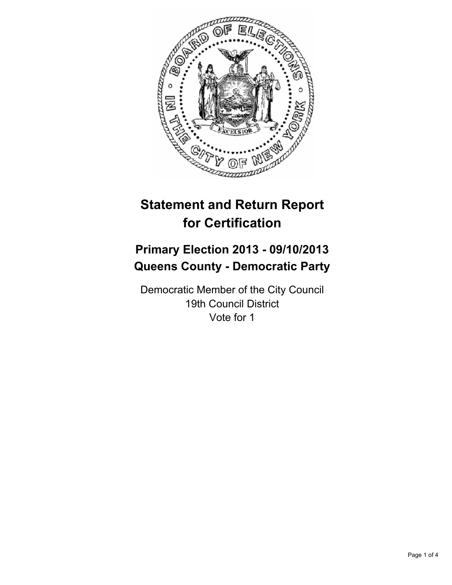

# **Statement and Return Report for Certification**

## **Primary Election 2013 - 09/10/2013 Queens County - Democratic Party**

Democratic Member of the City Council 19th Council District Vote for 1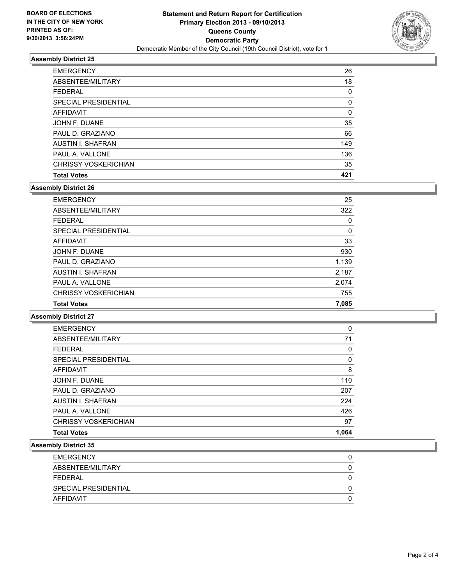

#### **Assembly District 25**

| <b>EMERGENCY</b>            | 26  |
|-----------------------------|-----|
| ABSENTEE/MILITARY           | 18  |
| <b>FEDERAL</b>              | 0   |
| <b>SPECIAL PRESIDENTIAL</b> | 0   |
| <b>AFFIDAVIT</b>            | 0   |
| JOHN F. DUANE               | 35  |
| PAUL D. GRAZIANO            | 66  |
| <b>AUSTIN I. SHAFRAN</b>    | 149 |
| PAUL A. VALLONE             | 136 |
| <b>CHRISSY VOSKERICHIAN</b> | 35  |
| <b>Total Votes</b>          | 421 |

### **Assembly District 26**

| <b>EMERGENCY</b>            | 25       |
|-----------------------------|----------|
| ABSENTEE/MILITARY           | 322      |
| <b>FEDERAL</b>              | 0        |
| SPECIAL PRESIDENTIAL        | $\Omega$ |
| AFFIDAVIT                   | 33       |
| JOHN F. DUANE               | 930      |
| PAUL D. GRAZIANO            | 1,139    |
| <b>AUSTIN I. SHAFRAN</b>    | 2,187    |
| PAUL A. VALLONE             | 2,074    |
| <b>CHRISSY VOSKERICHIAN</b> | 755      |
| <b>Total Votes</b>          | 7.085    |

#### **Assembly District 27**

| <b>EMERGENCY</b>            | 0     |
|-----------------------------|-------|
| ABSENTEE/MILITARY           | 71    |
| <b>FEDERAL</b>              | 0     |
| SPECIAL PRESIDENTIAL        | 0     |
| AFFIDAVIT                   | 8     |
| JOHN F. DUANE               | 110   |
| PAUL D. GRAZIANO            | 207   |
| AUSTIN I. SHAFRAN           | 224   |
| PAUL A. VALLONE             | 426   |
| <b>CHRISSY VOSKERICHIAN</b> | 97    |
| <b>Total Votes</b>          | 1.064 |

#### **Assembly District 35**

| <b>EMERGENCY</b>     |  |
|----------------------|--|
| ABSENTEE/MILITARY    |  |
| FFDFRAI              |  |
| SPECIAL PRESIDENTIAL |  |
| AFFIDAVIT            |  |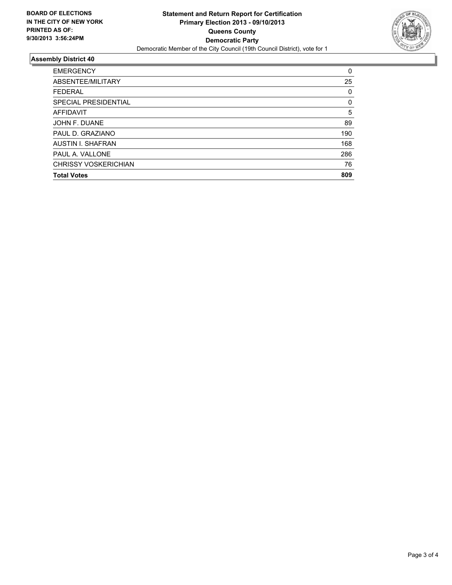

#### **Assembly District 40**

| <b>EMERGENCY</b>            | 0   |
|-----------------------------|-----|
| ABSENTEE/MILITARY           | 25  |
| <b>FEDERAL</b>              | 0   |
| SPECIAL PRESIDENTIAL        | 0   |
| <b>AFFIDAVIT</b>            | 5   |
| JOHN F. DUANE               | 89  |
| PAUL D. GRAZIANO            | 190 |
| <b>AUSTIN I. SHAFRAN</b>    | 168 |
| PAUL A. VALLONE             | 286 |
| <b>CHRISSY VOSKERICHIAN</b> | 76  |
| <b>Total Votes</b>          | 809 |